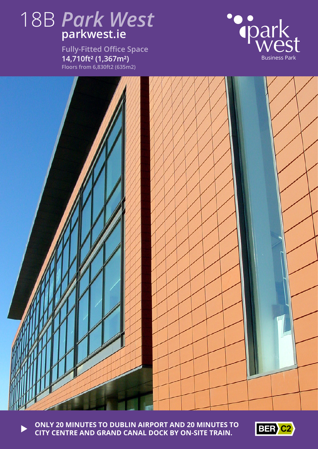

**Fully-Fitted Office Space 14,710ft² (1,367m²) Floors from 6,830ft2 (635m2)**





**ONLY 20 MINUTES TO DUBLIN AIRPORT AND 20 MINUTES TO CITY CENTRE AND GRAND CANAL DOCK BY ON-SITE TRAIN.**